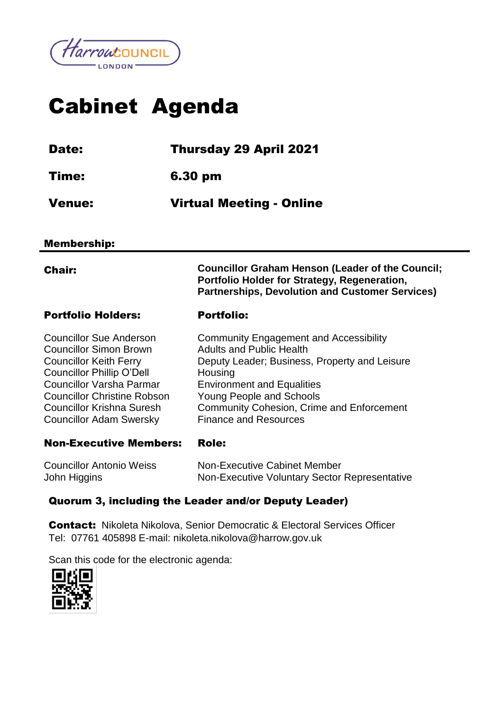

# Cabinet Agenda

| <b>Date:</b> | <b>Thursday 29 April 2021</b>   |
|--------------|---------------------------------|
| Time:        | 6.30 pm                         |
| Venue:       | <b>Virtual Meeting - Online</b> |

#### Membership:

Chair: **Councillor Graham Henson (Leader of the Council; Portfolio Holder for Strategy, Regeneration, Partnerships, Devolution and Customer Services)**

#### Portfolio Holders: Portfolio:

| <b>Councillor Sue Anderson</b>     | <b>Community Engagement and Accessibility</b>    |
|------------------------------------|--------------------------------------------------|
| <b>Councillor Simon Brown</b>      | <b>Adults and Public Health</b>                  |
| <b>Councillor Keith Ferry</b>      | Deputy Leader; Business, Property and Leisure    |
| <b>Councillor Phillip O'Dell</b>   | Housing                                          |
| <b>Councillor Varsha Parmar</b>    | <b>Environment and Equalities</b>                |
| <b>Councillor Christine Robson</b> | Young People and Schools                         |
| <b>Councillor Krishna Suresh</b>   | <b>Community Cohesion, Crime and Enforcement</b> |
| <b>Councillor Adam Swersky</b>     | <b>Finance and Resources</b>                     |
|                                    |                                                  |

#### Non-Executive Members: Role:

| <b>Councillor Antonio Weiss</b> | Non-Executive Cabinet Member                  |
|---------------------------------|-----------------------------------------------|
| John Higgins                    | Non-Executive Voluntary Sector Representative |

#### Quorum 3, including the Leader and/or Deputy Leader)

Contact:Nikoleta Nikolova, Senior Democratic & Electoral Services Officer Tel: 07761 405898 E-mail: nikoleta.nikolova@harrow.gov.uk

Scan this code for the electronic agenda:

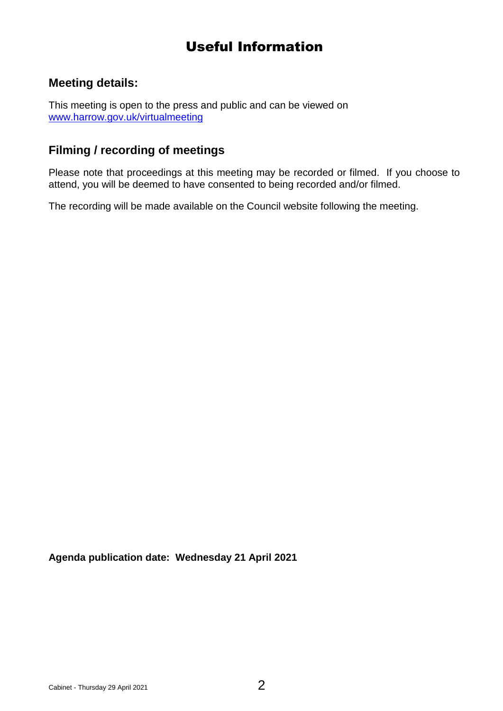# Useful Information

## **Meeting details:**

This meeting is open to the press and public and can be viewed on [www.harrow.gov.uk/virtualmeeting](http://www.harrow.gov.uk/virtualmeeting)

### **Filming / recording of meetings**

Please note that proceedings at this meeting may be recorded or filmed. If you choose to attend, you will be deemed to have consented to being recorded and/or filmed.

The recording will be made available on the Council website following the meeting.

**Agenda publication date: Wednesday 21 April 2021**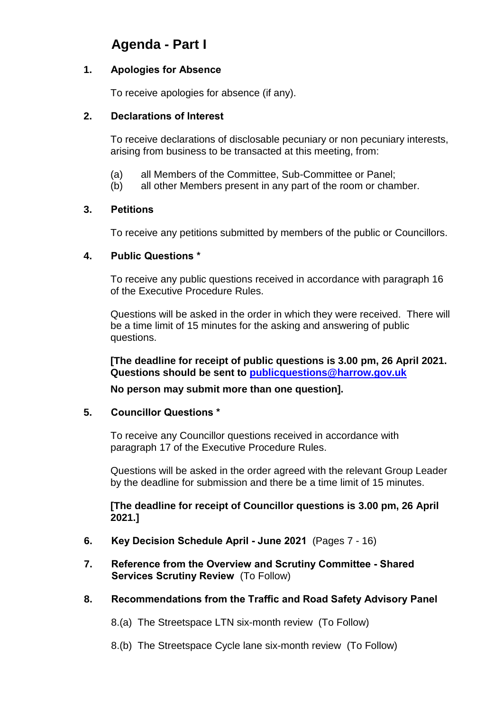## **Agenda - Part I**

#### **1. Apologies for Absence**

To receive apologies for absence (if any).

#### **2. Declarations of Interest**

To receive declarations of disclosable pecuniary or non pecuniary interests, arising from business to be transacted at this meeting, from:

- (a) all Members of the Committee, Sub-Committee or Panel;
- (b) all other Members present in any part of the room or chamber.

#### **3. Petitions**

To receive any petitions submitted by members of the public or Councillors.

#### **4. Public Questions \***

To receive any public questions received in accordance with paragraph 16 of the Executive Procedure Rules.

Questions will be asked in the order in which they were received. There will be a time limit of 15 minutes for the asking and answering of public questions.

**[The deadline for receipt of public questions is 3.00 pm, 26 April 2021. Questions should be sent to [publicquestions@harrow.gov.uk](mailto:publicquestions@harrow.gov.uk)**

**No person may submit more than one question].**

#### **5. Councillor Questions \***

To receive any Councillor questions received in accordance with paragraph 17 of the Executive Procedure Rules.

Questions will be asked in the order agreed with the relevant Group Leader by the deadline for submission and there be a time limit of 15 minutes.

**[The deadline for receipt of Councillor questions is 3.00 pm, 26 April 2021.]**

- **6. Key Decision Schedule April - June 2021** (Pages 7 16)
- **7. Reference from the Overview and Scrutiny Committee - Shared Services Scrutiny Review** (To Follow)
- **8. Recommendations from the Traffic and Road Safety Advisory Panel**
	- 8.(a) The Streetspace LTN six-month review (To Follow)
	- 8.(b) The Streetspace Cycle lane six-month review (To Follow)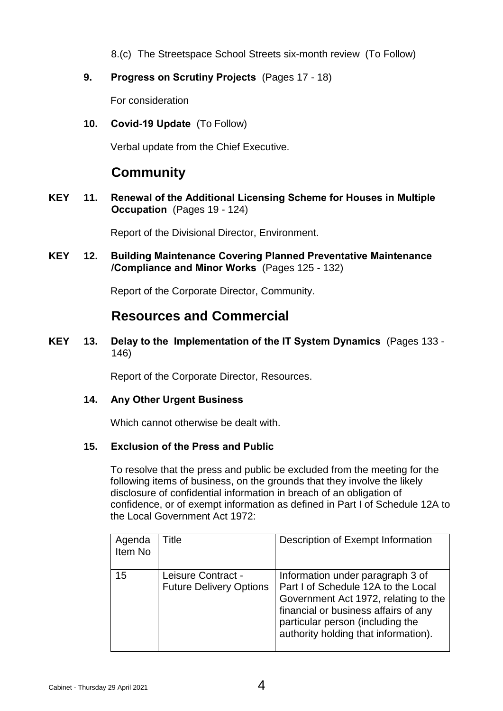- 8.(c) The Streetspace School Streets six-month review (To Follow)
- **9. Progress on Scrutiny Projects** (Pages 17 18)

For consideration

**10. Covid-19 Update** (To Follow)

Verbal update from the Chief Executive.

## **Community**

**KEY 11. Renewal of the Additional Licensing Scheme for Houses in Multiple Occupation** (Pages 19 - 124)

Report of the Divisional Director, Environment.

**KEY 12. Building Maintenance Covering Planned Preventative Maintenance /Compliance and Minor Works** (Pages 125 - 132)

Report of the Corporate Director, Community.

## **Resources and Commercial**

**KEY 13. Delay to the Implementation of the IT System Dynamics** (Pages 133 - 146)

Report of the Corporate Director, Resources.

#### **14. Any Other Urgent Business**

Which cannot otherwise be dealt with.

#### **15. Exclusion of the Press and Public**

To resolve that the press and public be excluded from the meeting for the following items of business, on the grounds that they involve the likely disclosure of confidential information in breach of an obligation of confidence, or of exempt information as defined in Part I of Schedule 12A to the Local Government Act 1972:

| Agenda<br>Item No | Title                                                | Description of Exempt Information                                                                                                                                                                                                   |
|-------------------|------------------------------------------------------|-------------------------------------------------------------------------------------------------------------------------------------------------------------------------------------------------------------------------------------|
| 15                | Leisure Contract -<br><b>Future Delivery Options</b> | Information under paragraph 3 of<br>Part I of Schedule 12A to the Local<br>Government Act 1972, relating to the<br>financial or business affairs of any<br>particular person (including the<br>authority holding that information). |